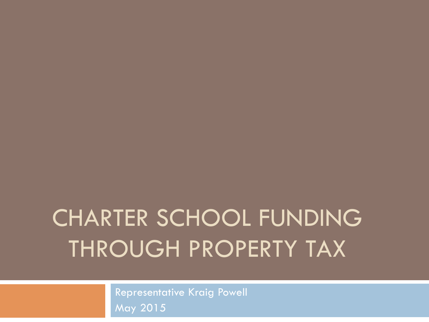# CHARTER SCHOOL FUNDING THROUGH PROPERTY TAX

Representative Kraig Powell May 2015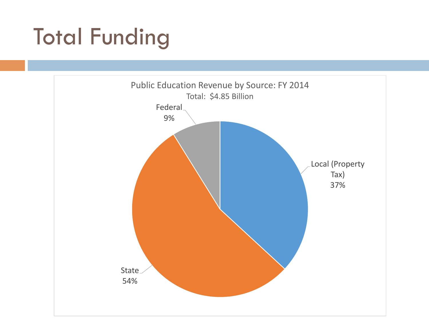# Total Funding

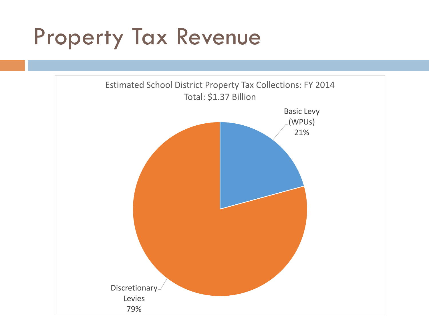### Property Tax Revenue

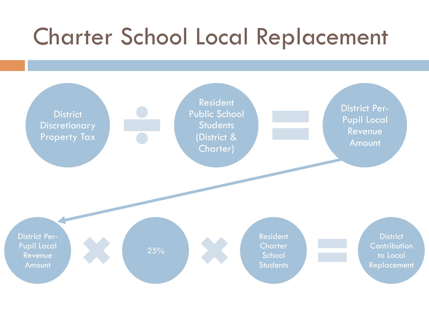## Charter School Local Replacement

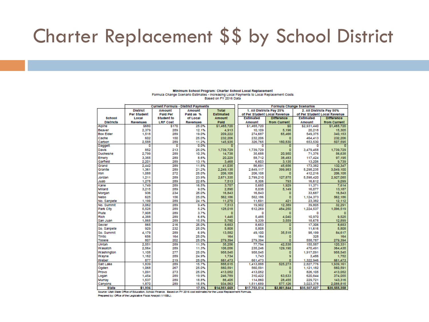#### Charter Replacement \$\$ by School District

|                  |                                     | Current Formula - District Payments |                 |                | Formula Change Scenarios |                              |                   |                              |                    |  |  |
|------------------|-------------------------------------|-------------------------------------|-----------------|----------------|--------------------------|------------------------------|-------------------|------------------------------|--------------------|--|--|
|                  | <b>District</b><br>Amount<br>Amount |                                     |                 | <b>Total</b>   |                          | 1. All Districts Pay 25%     |                   | 2. All Districts Pay 50%     |                    |  |  |
|                  | Per Student                         | <b>Paid Per</b>                     | Pald as %       | Estimated      |                          | of Per Student Local Revenue |                   | of Per Student Local Revenue |                    |  |  |
| <b>School</b>    | Local                               | <b>Student to</b>                   | of Local        | Amount         |                          | <b>Estimated</b>             | <b>Difference</b> | Estimated                    | <b>Difference</b>  |  |  |
| <b>Districts</b> | <b>Revenues</b>                     | <b>LRF</b> Cost                     | <b>Revenues</b> | Paid           |                          | Amount                       | from Current      | Amount                       | from Current       |  |  |
| Alpine           | \$680                               | \$170                               | 25.0%           | \$1,465,720    |                          | \$1,465,720                  | 50                | \$2,931,440                  | \$1,465,720        |  |  |
| Beaver           | 2.379                               | 289                                 | 12.1%           | 4,913          |                          | 10.109                       | 5.196             | 20.218                       | 15,305             |  |  |
| <b>Box Elder</b> | 1,518                               | 289                                 | 19.0%           | 209,222        |                          | 274,687                      | 65,466            | 549,375                      | 340,153            |  |  |
| Cache            | 602                                 | 150                                 | 25.0%           | 232.206        |                          | 232,206                      | п                 | 464,413                      | 232.206            |  |  |
| Carbon           | 2,588                               | 289                                 | 11.2%           | 145,935        |                          | 326,765                      | 180,830           | 653,530                      | 507.595            |  |  |
| Daggett          | o                                   | o                                   | 0.0%            | ٥              |                          | ٥                            | o                 | ٥                            |                    |  |  |
| Davis            | 852                                 | 213                                 | 25.0%           | 1,739,729      |                          | 1,739,729                    | o                 | 3,479,458                    | 1,739,729          |  |  |
| Duchesne         | 2.799                               | 289                                 | 10.3%           | 14,738         |                          | 35,688                       | 20,950            | 71,376                       | 56,638             |  |  |
| Emery            | 3,355                               | 289                                 | 8.6%            | 20,229         |                          | 58,712                       | 38,483            | 117,424                      | 97.195             |  |  |
| Garfield         | 2,201                               | 289                                 | 13.1%           | 3,468          |                          | 6,603                        | 3,135             | 13,206                       | 9.739              |  |  |
| Grand            | 2.442                               | 289                                 | 11.8%           | 41.035         |                          | 86,691                       | 45.656            | 173,382                      | 132,347            |  |  |
| Granite          | 1.361                               | 289                                 | 21.2%           | 2,249,135      |                          | 2.649.117                    | 399.983           | 5,298,235                    | 3,049,100          |  |  |
| Iron             | 1,088                               | 272                                 | 25.0%           | 206.108        |                          | 206.108                      | o                 | 412,216                      | 206.108            |  |  |
| Jordan           | 1,211<br>1,278                      | 289<br>289                          | 23.9%<br>22.6%  | 2,671,335      |                          | 2,799,210<br>8,306           | 127,875           | 5,598,420<br>16,612          | 2,927,085<br>9,099 |  |  |
| Juab<br>Kane     | 1.749                               | 289                                 | 16.5%           | 7,513<br>3.757 |                          | 5,685                        | 793<br>1.929      |                              | 7.614              |  |  |
| Millard          | 3,215                               | 289                                 | 9.0%            | 2.890          |                          | 8,038                        | 5.149             | 11.371                       |                    |  |  |
| Morgan           | 936                                 | 234                                 | 25.0%           | 16,843         |                          | 16,843                       | o                 | 16,077<br>33,687             | 13,187<br>16,843   |  |  |
| Nebo             | 625                                 | 156                                 | 25.0%           | 562,186        |                          | 562,186                      | ō                 | 1,124,373                    | 562,186            |  |  |
| No. Sanpete      | 1,199                               | 289                                 | 24.1%           | 11,270         |                          | 11,691                       | 421               | 23,382                       | 12,112             |  |  |
| No. Summit       | 3.062                               | 289                                 | 9.4%            | 7.513          |                          | 19,902                       | 12.389            | 39,805                       | 32.291             |  |  |
| Park City        | 5,528                               | 289                                 | 5.2%            | 128.018        |                          | 612,269                      | 484.250           | 1,224,537                    | 1,096,519          |  |  |
| Plute            | 7,908                               | 289                                 | 3.7%            | $\circ$        |                          | ٥                            | o                 | o                            | o                  |  |  |
| Rich             | 4,388                               | 289                                 | 6.6%            | 1,445          |                          | 5,485                        | 4,040             | 10,970                       | 9.525              |  |  |
| San Juan         | 1,868                               | 289                                 | 15.5%           | 5,780          |                          | 9,339                        | 3,559             | 18,678                       | 12,899             |  |  |
| Sevier           | 865                                 | 216                                 | 25.0%           | 8,653          |                          | 8,653                        | ō                 | 17,306                       | 8,653              |  |  |
| So. Sanpete      | 929                                 | 232                                 | 25.0%           | 5,808          |                          | 5,808                        | ō                 | 11,616                       | 5,808              |  |  |
| So. Summit       | 4,179                               | 289                                 | 6.9%            | 13,582         |                          | 49,100                       | 35,518            | 98,199                       | 84,617             |  |  |
| <b>TIntic</b>    | 656                                 | 164                                 | 25.0%           | 164            |                          | 164                          | п                 | 328                          | 164                |  |  |
| Topele           | 807                                 | 202                                 | 25.0%           | 279,394        |                          | 279,394                      | ō                 | 558.787                      | 279,394            |  |  |
| Ulntah           | 2.551                               | 289                                 | 11.3%           | 35.256         |                          | 77,794                       | 42.538            | 155,587                      | 120.331            |  |  |
| Wasatch          | 2.564                               | 289                                 | 11.3%           | 106,056        |                          | 235,246                      | 129,190           | 470,491                      | 364,435            |  |  |
| Washington       | 1,108                               | 277                                 | 25.0%           | 958.545        |                          | 958.545                      | o                 | 1,917,091                    | 958,545            |  |  |
| Wayne            | 1,162                               | 289                                 | 24.9%           | 1,734          |                          | 1,743                        | g                 | 3,486                        | 1,752              |  |  |
| Weber            | 877                                 | 219                                 | 25.0%           | 661,473        |                          | 661,473                      | ō                 | 1,322,946                    | 661,473            |  |  |
| Salt Lake        | 1,839                               | 289                                 | 15.7%           | 888.615        |                          | 1,413,888                    | 525.273           | 2.827,776                    | 1,939,161          |  |  |
| Ogden            | 1,068                               | 267                                 | 25.0%           | 560,591        |                          | 560,591                      | ٥                 | 1,121,182                    | 560,591            |  |  |
| Provo            | 1,091                               | 273                                 | 25.0%           | 413,052        |                          | 413,052                      | n                 | 826,105                      | 413,052            |  |  |
| Logan            | 1,454                               | 289                                 | 19.9%           | 246.789        |                          | 310,422                      | 63,633            | 620,844                      | 374,055            |  |  |
| Murray           | 1,537                               | 289                                 | 18.8%           | 86,405         |                          | 114,860                      | 28.455            | 229.721                      | 143.316            |  |  |
| Canyons          | 1,870                               | 289                                 | 15.5%           | 934.563        |                          | 1,511,689                    | 577.126           | 3,023,378                    | 2.088.815          |  |  |
| <b>State</b>     | \$1,936                             |                                     | 17.5%           | \$14,951,669   |                          | \$17,753,514                 | \$2,801,844       | \$35,507,027                 | \$20,555,358       |  |  |

#### Minimum School Program: Charter School Local Replacement Formula Change Scenario Estimates - Increasing Local Payments to Local Replacement Costs Based on FY 2016 Data

Source: Utah State Office of Education, School Finance. Based on FY 2016 cost estimates for the Local Replacement Formula.

Prepared by: Office of the Legislative Fiscal Analyst (1/15BL).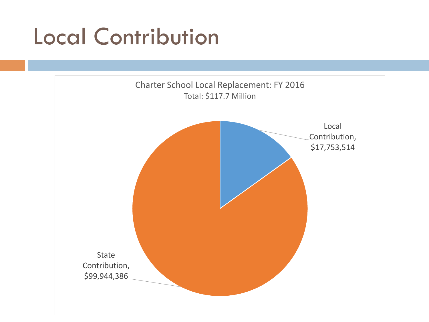## Local Contribution

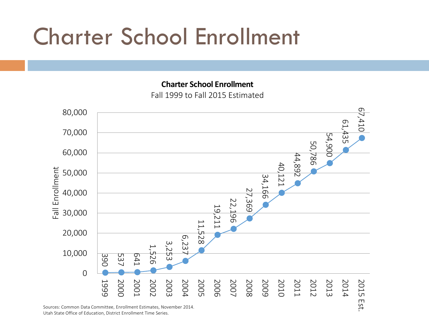## Charter School Enrollment

**Charter School Enrollment** Fall 1999 to Fall 2015 Estimated



Sources: Common Data Committee, Enrollment Estimates, November 2014. Utah State Office of Education, District Enrollment Time Series.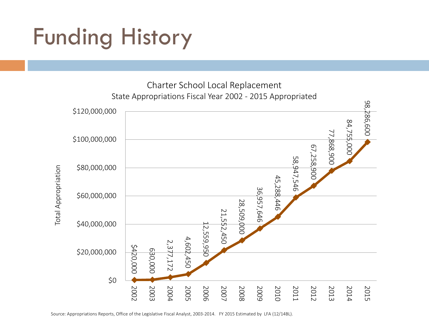# Funding History



Source: Appropriations Reports, Office of the Legislative Fiscal Analyst, 2003-2014. FY 2015 Estimated by LFA (12/14BL).